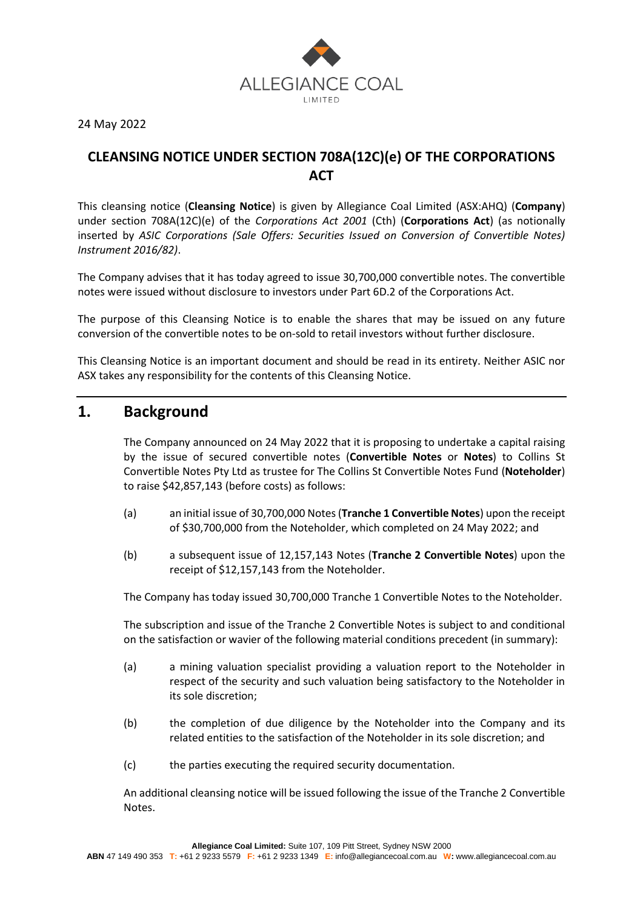

24 May 2022

### **CLEANSING NOTICE UNDER SECTION 708A(12C)(e) OF THE CORPORATIONS ACT**

This cleansing notice (**Cleansing Notice**) is given by Allegiance Coal Limited (ASX:AHQ) (**Company**) under section 708A(12C)(e) of the *Corporations Act 2001* (Cth) (**Corporations Act**) (as notionally inserted by *ASIC Corporations (Sale Offers: Securities Issued on Conversion of Convertible Notes) Instrument 2016/82)*.

The Company advises that it has today agreed to issue 30,700,000 convertible notes. The convertible notes were issued without disclosure to investors under Part 6D.2 of the Corporations Act.

The purpose of this Cleansing Notice is to enable the shares that may be issued on any future conversion of the convertible notes to be on-sold to retail investors without further disclosure.

This Cleansing Notice is an important document and should be read in its entirety. Neither ASIC nor ASX takes any responsibility for the contents of this Cleansing Notice.

### **1. Background**

The Company announced on 24 May 2022 that it is proposing to undertake a capital raising by the issue of secured convertible notes (**Convertible Notes** or **Notes**) to Collins St Convertible Notes Pty Ltd as trustee for The Collins St Convertible Notes Fund (**Noteholder**) to raise \$42,857,143 (before costs) as follows:

- (a) an initial issue of 30,700,000 Notes (**Tranche 1 Convertible Notes**) upon the receipt of \$30,700,000 from the Noteholder, which completed on 24 May 2022; and
- (b) a subsequent issue of 12,157,143 Notes (**Tranche 2 Convertible Notes**) upon the receipt of \$12,157,143 from the Noteholder.

The Company has today issued 30,700,000 Tranche 1 Convertible Notes to the Noteholder.

The subscription and issue of the Tranche 2 Convertible Notes is subject to and conditional on the satisfaction or wavier of the following material conditions precedent (in summary):

- (a) a mining valuation specialist providing a valuation report to the Noteholder in respect of the security and such valuation being satisfactory to the Noteholder in its sole discretion;
- (b) the completion of due diligence by the Noteholder into the Company and its related entities to the satisfaction of the Noteholder in its sole discretion; and
- (c) the parties executing the required security documentation.

An additional cleansing notice will be issued following the issue of the Tranche 2 Convertible Notes.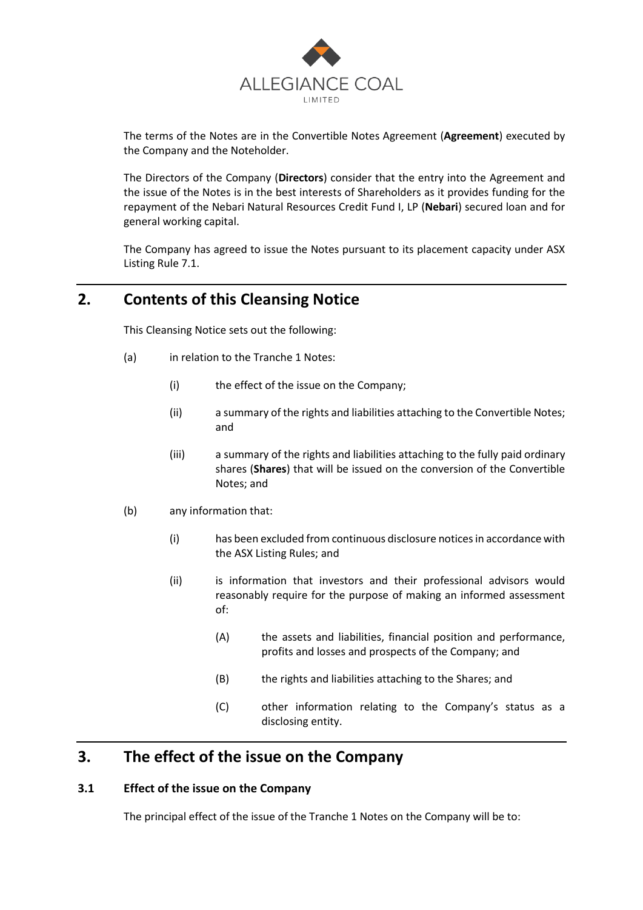

The terms of the Notes are in the Convertible Notes Agreement (**Agreement**) executed by the Company and the Noteholder.

The Directors of the Company (**Directors**) consider that the entry into the Agreement and the issue of the Notes is in the best interests of Shareholders as it provides funding for the repayment of the Nebari Natural Resources Credit Fund I, LP (**Nebari**) secured loan and for general working capital.

The Company has agreed to issue the Notes pursuant to its placement capacity under ASX Listing Rule 7.1.

## **2. Contents of this Cleansing Notice**

This Cleansing Notice sets out the following:

- (a) in relation to the Tranche 1 Notes:
	- (i) the effect of the issue on the Company;
	- (ii) a summary of the rights and liabilities attaching to the Convertible Notes; and
	- (iii) a summary of the rights and liabilities attaching to the fully paid ordinary shares (**Shares**) that will be issued on the conversion of the Convertible Notes; and
- (b) any information that:
	- (i) has been excluded from continuous disclosure notices in accordance with the ASX Listing Rules; and
	- (ii) is information that investors and their professional advisors would reasonably require for the purpose of making an informed assessment of:
		- (A) the assets and liabilities, financial position and performance, profits and losses and prospects of the Company; and
		- (B) the rights and liabilities attaching to the Shares; and
		- (C) other information relating to the Company's status as a disclosing entity.

### **3. The effect of the issue on the Company**

#### **3.1 Effect of the issue on the Company**

The principal effect of the issue of the Tranche 1 Notes on the Company will be to: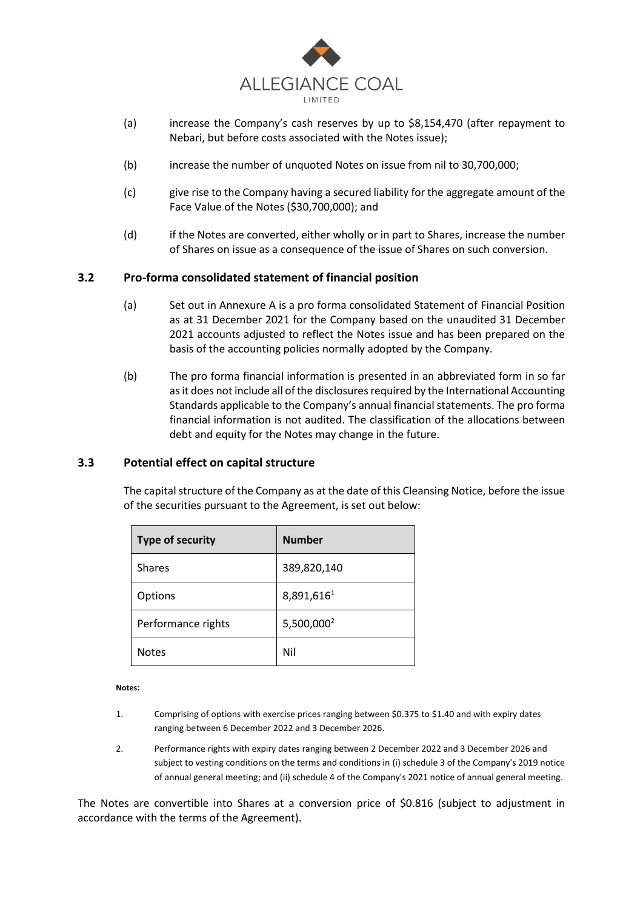

- (a) increase the Company's cash reserves by up to \$8,154,470 (after repayment to Nebari, but before costs associated with the Notes issue);
- (b) increase the number of unquoted Notes on issue from nil to 30,700,000;
- (c) give rise to the Company having a secured liability for the aggregate amount of the Face Value of the Notes (\$30,700,000); and
- (d) if the Notes are converted, either wholly or in part to Shares, increase the number of Shares on issue as a consequence of the issue of Shares on such conversion.

#### **3.2 Pro-forma consolidated statement of financial position**

- (a) Set out in Annexure A is a pro forma consolidated Statement of Financial Position as at 31 December 2021 for the Company based on the unaudited 31 December 2021 accounts adjusted to reflect the Notes issue and has been prepared on the basis of the accounting policies normally adopted by the Company.
- (b) The pro forma financial information is presented in an abbreviated form in so far as it does not include all of the disclosures required by the International Accounting Standards applicable to the Company's annual financial statements. The pro forma financial information is not audited. The classification of the allocations between debt and equity for the Notes may change in the future.

#### **3.3 Potential effect on capital structure**

The capital structure of the Company as at the date of this Cleansing Notice, before the issue of the securities pursuant to the Agreement, is set out below:

| <b>Type of security</b> | <b>Number</b>          |
|-------------------------|------------------------|
| <b>Shares</b>           | 389,820,140            |
| Options                 | 8,891,6161             |
| Performance rights      | 5,500,000 <sup>2</sup> |
| <b>Notes</b>            | Nil                    |

**Notes:**

- 1. Comprising of options with exercise prices ranging between \$0.375 to \$1.40 and with expiry dates ranging between 6 December 2022 and 3 December 2026.
- 2. Performance rights with expiry dates ranging between 2 December 2022 and 3 December 2026 and subject to vesting conditions on the terms and conditions in (i) schedule 3 of the Company's 2019 notice of annual general meeting; and (ii) schedule 4 of the Company's 2021 notice of annual general meeting.

The Notes are convertible into Shares at a conversion price of \$0.816 (subject to adjustment in accordance with the terms of the Agreement).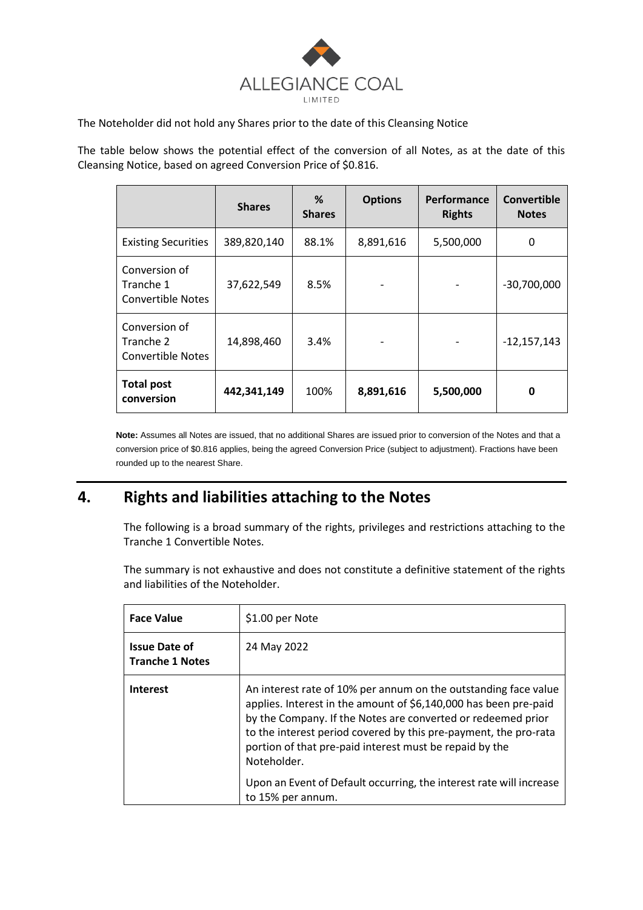

The Noteholder did not hold any Shares prior to the date of this Cleansing Notice

The table below shows the potential effect of the conversion of all Notes, as at the date of this Cleansing Notice, based on agreed Conversion Price of \$0.816.

|                                                        | <b>Shares</b> | %<br><b>Shares</b> | <b>Options</b> | Performance<br><b>Rights</b> | <b>Convertible</b><br><b>Notes</b> |
|--------------------------------------------------------|---------------|--------------------|----------------|------------------------------|------------------------------------|
| <b>Existing Securities</b>                             | 389,820,140   | 88.1%              | 8,891,616      | 5,500,000                    | 0                                  |
| Conversion of<br>Tranche 1<br><b>Convertible Notes</b> | 37,622,549    | 8.5%               |                |                              | $-30,700,000$                      |
| Conversion of<br>Tranche 2<br><b>Convertible Notes</b> | 14,898,460    | 3.4%               |                |                              | $-12,157,143$                      |
| <b>Total post</b><br>conversion                        | 442,341,149   | 100%               | 8,891,616      | 5,500,000                    | 0                                  |

**Note:** Assumes all Notes are issued, that no additional Shares are issued prior to conversion of the Notes and that a conversion price of \$0.816 applies, being the agreed Conversion Price (subject to adjustment). Fractions have been rounded up to the nearest Share.

# **4. Rights and liabilities attaching to the Notes**

The following is a broad summary of the rights, privileges and restrictions attaching to the Tranche 1 Convertible Notes.

The summary is not exhaustive and does not constitute a definitive statement of the rights and liabilities of the Noteholder.

| <b>Face Value</b>                              | \$1.00 per Note                                                                                                                                                                                                                                                                                                                                                                                                                               |
|------------------------------------------------|-----------------------------------------------------------------------------------------------------------------------------------------------------------------------------------------------------------------------------------------------------------------------------------------------------------------------------------------------------------------------------------------------------------------------------------------------|
| <b>Issue Date of</b><br><b>Tranche 1 Notes</b> | 24 May 2022                                                                                                                                                                                                                                                                                                                                                                                                                                   |
| <b>Interest</b>                                | An interest rate of 10% per annum on the outstanding face value<br>applies. Interest in the amount of \$6,140,000 has been pre-paid<br>by the Company. If the Notes are converted or redeemed prior<br>to the interest period covered by this pre-payment, the pro-rata<br>portion of that pre-paid interest must be repaid by the<br>Noteholder.<br>Upon an Event of Default occurring, the interest rate will increase<br>to 15% per annum. |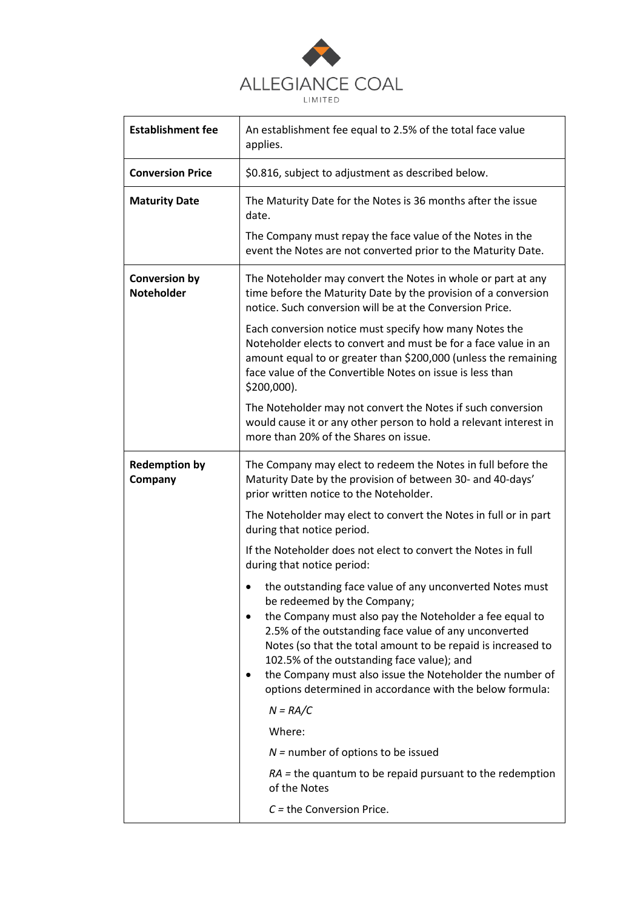

| <b>Establishment fee</b>                  | An establishment fee equal to 2.5% of the total face value<br>applies.                                                                                                                                                                                                                                                                                                                                                                            |
|-------------------------------------------|---------------------------------------------------------------------------------------------------------------------------------------------------------------------------------------------------------------------------------------------------------------------------------------------------------------------------------------------------------------------------------------------------------------------------------------------------|
| <b>Conversion Price</b>                   | \$0.816, subject to adjustment as described below.                                                                                                                                                                                                                                                                                                                                                                                                |
| <b>Maturity Date</b>                      | The Maturity Date for the Notes is 36 months after the issue<br>date.                                                                                                                                                                                                                                                                                                                                                                             |
|                                           | The Company must repay the face value of the Notes in the<br>event the Notes are not converted prior to the Maturity Date.                                                                                                                                                                                                                                                                                                                        |
| <b>Conversion by</b><br><b>Noteholder</b> | The Noteholder may convert the Notes in whole or part at any<br>time before the Maturity Date by the provision of a conversion<br>notice. Such conversion will be at the Conversion Price.                                                                                                                                                                                                                                                        |
|                                           | Each conversion notice must specify how many Notes the<br>Noteholder elects to convert and must be for a face value in an<br>amount equal to or greater than \$200,000 (unless the remaining<br>face value of the Convertible Notes on issue is less than<br>\$200,000).                                                                                                                                                                          |
|                                           | The Noteholder may not convert the Notes if such conversion<br>would cause it or any other person to hold a relevant interest in<br>more than 20% of the Shares on issue.                                                                                                                                                                                                                                                                         |
| <b>Redemption by</b><br>Company           | The Company may elect to redeem the Notes in full before the<br>Maturity Date by the provision of between 30- and 40-days'<br>prior written notice to the Noteholder.                                                                                                                                                                                                                                                                             |
|                                           | The Noteholder may elect to convert the Notes in full or in part<br>during that notice period.                                                                                                                                                                                                                                                                                                                                                    |
|                                           | If the Noteholder does not elect to convert the Notes in full<br>during that notice period:                                                                                                                                                                                                                                                                                                                                                       |
|                                           | the outstanding face value of any unconverted Notes must<br>be redeemed by the Company;<br>the Company must also pay the Noteholder a fee equal to<br>2.5% of the outstanding face value of any unconverted<br>Notes (so that the total amount to be repaid is increased to<br>102.5% of the outstanding face value); and<br>the Company must also issue the Noteholder the number of<br>options determined in accordance with the below formula: |
|                                           | $N = RA/C$                                                                                                                                                                                                                                                                                                                                                                                                                                        |
|                                           | Where:                                                                                                                                                                                                                                                                                                                                                                                                                                            |
|                                           | $N =$ number of options to be issued<br>$RA$ = the quantum to be repaid pursuant to the redemption                                                                                                                                                                                                                                                                                                                                                |
|                                           | of the Notes                                                                                                                                                                                                                                                                                                                                                                                                                                      |
|                                           | $C =$ the Conversion Price.                                                                                                                                                                                                                                                                                                                                                                                                                       |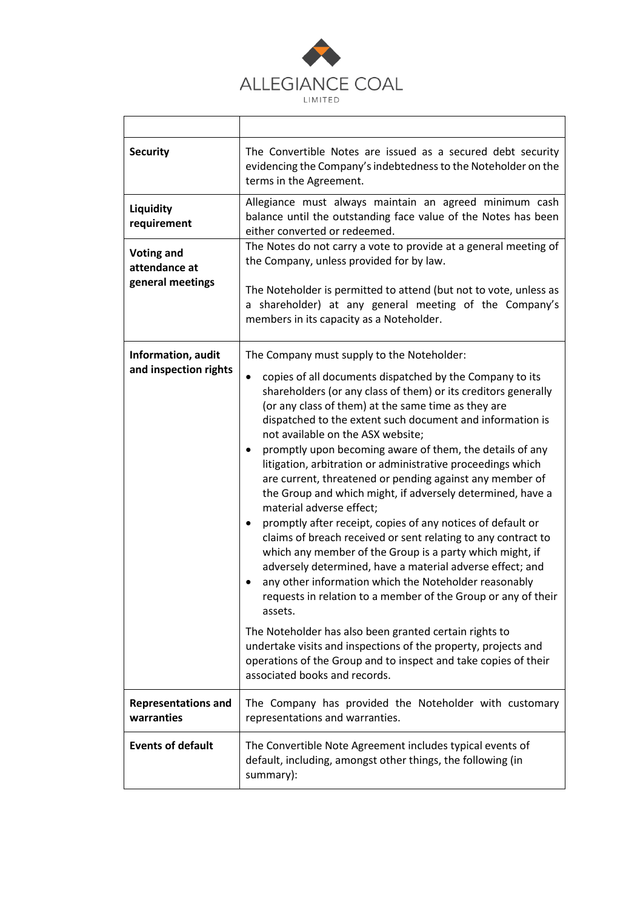

| <b>Security</b>                                        | The Convertible Notes are issued as a secured debt security<br>evidencing the Company's indebtedness to the Noteholder on the<br>terms in the Agreement.                                                                                                                                                                                                                                                                                                                                                                                                                                                                                                                                                                                                                                                                                                                                                                                                                                                                                                                                                                                                                                                                                                                        |
|--------------------------------------------------------|---------------------------------------------------------------------------------------------------------------------------------------------------------------------------------------------------------------------------------------------------------------------------------------------------------------------------------------------------------------------------------------------------------------------------------------------------------------------------------------------------------------------------------------------------------------------------------------------------------------------------------------------------------------------------------------------------------------------------------------------------------------------------------------------------------------------------------------------------------------------------------------------------------------------------------------------------------------------------------------------------------------------------------------------------------------------------------------------------------------------------------------------------------------------------------------------------------------------------------------------------------------------------------|
| <b>Liquidity</b><br>requirement                        | Allegiance must always maintain an agreed minimum cash<br>balance until the outstanding face value of the Notes has been<br>either converted or redeemed.                                                                                                                                                                                                                                                                                                                                                                                                                                                                                                                                                                                                                                                                                                                                                                                                                                                                                                                                                                                                                                                                                                                       |
| <b>Voting and</b><br>attendance at<br>general meetings | The Notes do not carry a vote to provide at a general meeting of<br>the Company, unless provided for by law.<br>The Noteholder is permitted to attend (but not to vote, unless as<br>a shareholder) at any general meeting of the Company's<br>members in its capacity as a Noteholder.                                                                                                                                                                                                                                                                                                                                                                                                                                                                                                                                                                                                                                                                                                                                                                                                                                                                                                                                                                                         |
| Information, audit<br>and inspection rights            | The Company must supply to the Noteholder:<br>copies of all documents dispatched by the Company to its<br>$\bullet$<br>shareholders (or any class of them) or its creditors generally<br>(or any class of them) at the same time as they are<br>dispatched to the extent such document and information is<br>not available on the ASX website;<br>promptly upon becoming aware of them, the details of any<br>litigation, arbitration or administrative proceedings which<br>are current, threatened or pending against any member of<br>the Group and which might, if adversely determined, have a<br>material adverse effect;<br>promptly after receipt, copies of any notices of default or<br>٠<br>claims of breach received or sent relating to any contract to<br>which any member of the Group is a party which might, if<br>adversely determined, have a material adverse effect; and<br>any other information which the Noteholder reasonably<br>$\bullet$<br>requests in relation to a member of the Group or any of their<br>assets.<br>The Noteholder has also been granted certain rights to<br>undertake visits and inspections of the property, projects and<br>operations of the Group and to inspect and take copies of their<br>associated books and records. |
| <b>Representations and</b><br>warranties               | The Company has provided the Noteholder with customary<br>representations and warranties.                                                                                                                                                                                                                                                                                                                                                                                                                                                                                                                                                                                                                                                                                                                                                                                                                                                                                                                                                                                                                                                                                                                                                                                       |
| <b>Events of default</b>                               | The Convertible Note Agreement includes typical events of<br>default, including, amongst other things, the following (in<br>summary):                                                                                                                                                                                                                                                                                                                                                                                                                                                                                                                                                                                                                                                                                                                                                                                                                                                                                                                                                                                                                                                                                                                                           |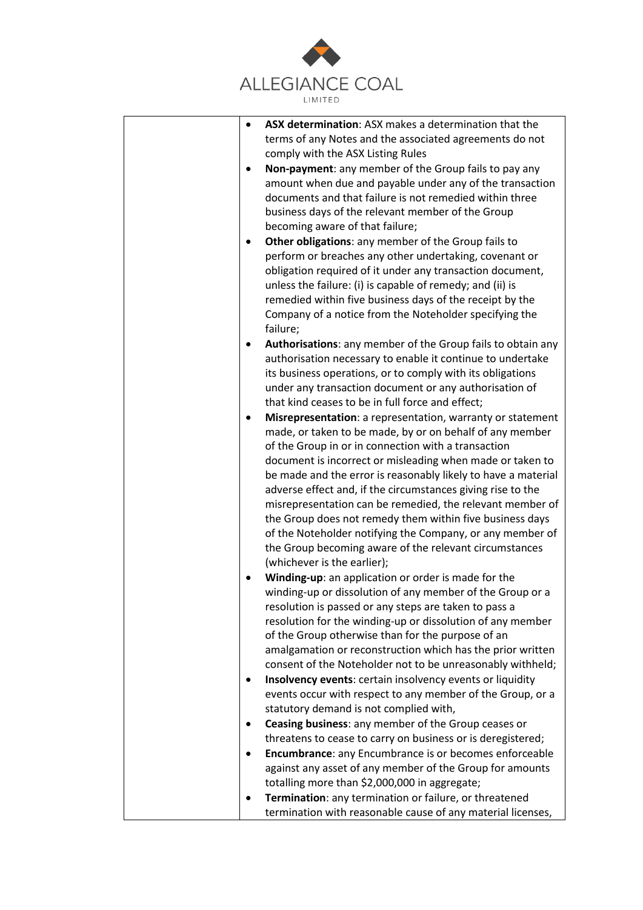

|   | ASX determination: ASX makes a determination that the         |
|---|---------------------------------------------------------------|
|   | terms of any Notes and the associated agreements do not       |
|   | comply with the ASX Listing Rules                             |
|   | Non-payment: any member of the Group fails to pay any         |
|   | amount when due and payable under any of the transaction      |
|   | documents and that failure is not remedied within three       |
|   | business days of the relevant member of the Group             |
|   | becoming aware of that failure;                               |
| ٠ | Other obligations: any member of the Group fails to           |
|   | perform or breaches any other undertaking, covenant or        |
|   | obligation required of it under any transaction document,     |
|   | unless the failure: (i) is capable of remedy; and (ii) is     |
|   | remedied within five business days of the receipt by the      |
|   | Company of a notice from the Noteholder specifying the        |
|   | failure;                                                      |
|   | Authorisations: any member of the Group fails to obtain any   |
|   | authorisation necessary to enable it continue to undertake    |
|   | its business operations, or to comply with its obligations    |
|   | under any transaction document or any authorisation of        |
|   | that kind ceases to be in full force and effect;              |
|   | Misrepresentation: a representation, warranty or statement    |
|   | made, or taken to be made, by or on behalf of any member      |
|   | of the Group in or in connection with a transaction           |
|   | document is incorrect or misleading when made or taken to     |
|   | be made and the error is reasonably likely to have a material |
|   | adverse effect and, if the circumstances giving rise to the   |
|   | misrepresentation can be remedied, the relevant member of     |
|   | the Group does not remedy them within five business days      |
|   | of the Noteholder notifying the Company, or any member of     |
|   | the Group becoming aware of the relevant circumstances        |
|   | (whichever is the earlier);                                   |
|   | Winding-up: an application or order is made for the           |
|   | winding-up or dissolution of any member of the Group or a     |
|   | resolution is passed or any steps are taken to pass a         |
|   | resolution for the winding-up or dissolution of any member    |
|   | of the Group otherwise than for the purpose of an             |
|   | amalgamation or reconstruction which has the prior written    |
|   | consent of the Noteholder not to be unreasonably withheld;    |
|   | Insolvency events: certain insolvency events or liquidity     |
|   | events occur with respect to any member of the Group, or a    |
|   | statutory demand is not complied with,                        |
|   | Ceasing business: any member of the Group ceases or           |
|   | threatens to cease to carry on business or is deregistered;   |
|   | Encumbrance: any Encumbrance is or becomes enforceable        |
|   | against any asset of any member of the Group for amounts      |
|   | totalling more than \$2,000,000 in aggregate;                 |
|   | Termination: any termination or failure, or threatened        |
|   | termination with reasonable cause of any material licenses,   |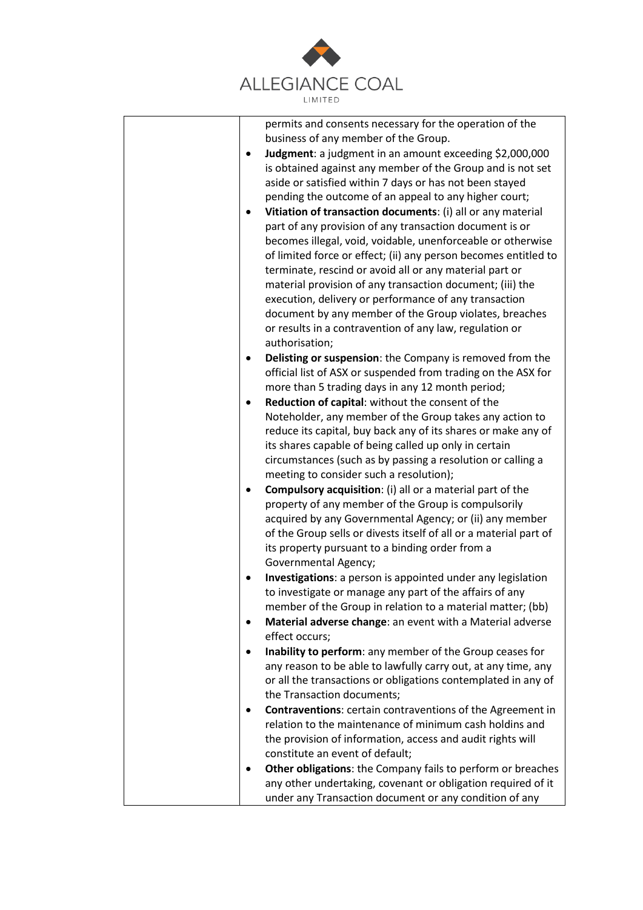

| permits and consents necessary for the operation of the                                                                            |
|------------------------------------------------------------------------------------------------------------------------------------|
| business of any member of the Group.                                                                                               |
| Judgment: a judgment in an amount exceeding \$2,000,000<br>$\bullet$<br>is obtained against any member of the Group and is not set |
| aside or satisfied within 7 days or has not been stayed                                                                            |
| pending the outcome of an appeal to any higher court;                                                                              |
| Vitiation of transaction documents: (i) all or any material                                                                        |
| part of any provision of any transaction document is or                                                                            |
| becomes illegal, void, voidable, unenforceable or otherwise                                                                        |
| of limited force or effect; (ii) any person becomes entitled to<br>terminate, rescind or avoid all or any material part or         |
| material provision of any transaction document; (iii) the                                                                          |
| execution, delivery or performance of any transaction                                                                              |
| document by any member of the Group violates, breaches                                                                             |
| or results in a contravention of any law, regulation or                                                                            |
| authorisation;                                                                                                                     |
| Delisting or suspension: the Company is removed from the                                                                           |
| official list of ASX or suspended from trading on the ASX for                                                                      |
| more than 5 trading days in any 12 month period;                                                                                   |
| Reduction of capital: without the consent of the<br>$\bullet$                                                                      |
| Noteholder, any member of the Group takes any action to                                                                            |
| reduce its capital, buy back any of its shares or make any of                                                                      |
| its shares capable of being called up only in certain                                                                              |
| circumstances (such as by passing a resolution or calling a                                                                        |
| meeting to consider such a resolution);                                                                                            |
| <b>Compulsory acquisition:</b> (i) all or a material part of the                                                                   |
| property of any member of the Group is compulsorily                                                                                |
| acquired by any Governmental Agency; or (ii) any member                                                                            |
| of the Group sells or divests itself of all or a material part of                                                                  |
| its property pursuant to a binding order from a                                                                                    |
| Governmental Agency;                                                                                                               |
| Investigations: a person is appointed under any legislation<br>٠<br>to investigate or manage any part of the affairs of any        |
| member of the Group in relation to a material matter; (bb)                                                                         |
| Material adverse change: an event with a Material adverse<br>٠                                                                     |
| effect occurs;                                                                                                                     |
| Inability to perform: any member of the Group ceases for                                                                           |
| any reason to be able to lawfully carry out, at any time, any                                                                      |
| or all the transactions or obligations contemplated in any of                                                                      |
| the Transaction documents;                                                                                                         |
| <b>Contraventions:</b> certain contraventions of the Agreement in                                                                  |
| relation to the maintenance of minimum cash holdins and                                                                            |
| the provision of information, access and audit rights will                                                                         |
| constitute an event of default;                                                                                                    |
| Other obligations: the Company fails to perform or breaches<br>٠                                                                   |
| any other undertaking, covenant or obligation required of it                                                                       |
| under any Transaction document or any condition of any                                                                             |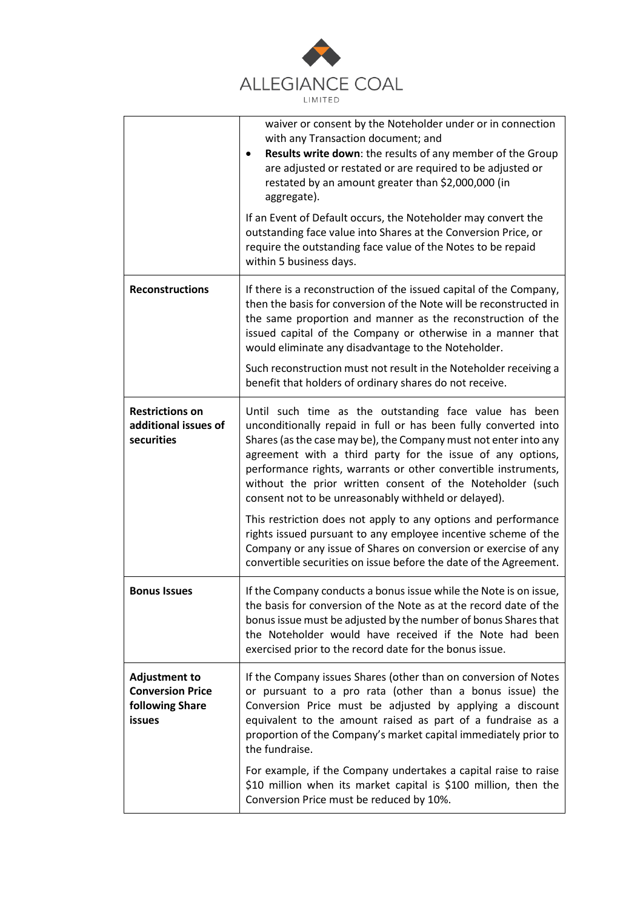

|                                                                                     | waiver or consent by the Noteholder under or in connection<br>with any Transaction document; and<br>Results write down: the results of any member of the Group<br>٠<br>are adjusted or restated or are required to be adjusted or<br>restated by an amount greater than \$2,000,000 (in<br>aggregate).                                                                                                                                                                                                                                                                                                                                                                                                                         |
|-------------------------------------------------------------------------------------|--------------------------------------------------------------------------------------------------------------------------------------------------------------------------------------------------------------------------------------------------------------------------------------------------------------------------------------------------------------------------------------------------------------------------------------------------------------------------------------------------------------------------------------------------------------------------------------------------------------------------------------------------------------------------------------------------------------------------------|
|                                                                                     | If an Event of Default occurs, the Noteholder may convert the<br>outstanding face value into Shares at the Conversion Price, or<br>require the outstanding face value of the Notes to be repaid<br>within 5 business days.                                                                                                                                                                                                                                                                                                                                                                                                                                                                                                     |
| <b>Reconstructions</b>                                                              | If there is a reconstruction of the issued capital of the Company,<br>then the basis for conversion of the Note will be reconstructed in<br>the same proportion and manner as the reconstruction of the<br>issued capital of the Company or otherwise in a manner that<br>would eliminate any disadvantage to the Noteholder.                                                                                                                                                                                                                                                                                                                                                                                                  |
|                                                                                     | Such reconstruction must not result in the Noteholder receiving a<br>benefit that holders of ordinary shares do not receive.                                                                                                                                                                                                                                                                                                                                                                                                                                                                                                                                                                                                   |
| <b>Restrictions on</b><br>additional issues of<br>securities                        | Until such time as the outstanding face value has been<br>unconditionally repaid in full or has been fully converted into<br>Shares (as the case may be), the Company must not enter into any<br>agreement with a third party for the issue of any options,<br>performance rights, warrants or other convertible instruments,<br>without the prior written consent of the Noteholder (such<br>consent not to be unreasonably withheld or delayed).<br>This restriction does not apply to any options and performance<br>rights issued pursuant to any employee incentive scheme of the<br>Company or any issue of Shares on conversion or exercise of any<br>convertible securities on issue before the date of the Agreement. |
| <b>Bonus Issues</b>                                                                 | If the Company conducts a bonus issue while the Note is on issue,<br>the basis for conversion of the Note as at the record date of the<br>bonus issue must be adjusted by the number of bonus Shares that<br>the Noteholder would have received if the Note had been<br>exercised prior to the record date for the bonus issue.                                                                                                                                                                                                                                                                                                                                                                                                |
| <b>Adjustment to</b><br><b>Conversion Price</b><br>following Share<br><b>issues</b> | If the Company issues Shares (other than on conversion of Notes<br>or pursuant to a pro rata (other than a bonus issue) the<br>Conversion Price must be adjusted by applying a discount<br>equivalent to the amount raised as part of a fundraise as a<br>proportion of the Company's market capital immediately prior to<br>the fundraise.                                                                                                                                                                                                                                                                                                                                                                                    |
|                                                                                     | For example, if the Company undertakes a capital raise to raise<br>\$10 million when its market capital is \$100 million, then the<br>Conversion Price must be reduced by 10%.                                                                                                                                                                                                                                                                                                                                                                                                                                                                                                                                                 |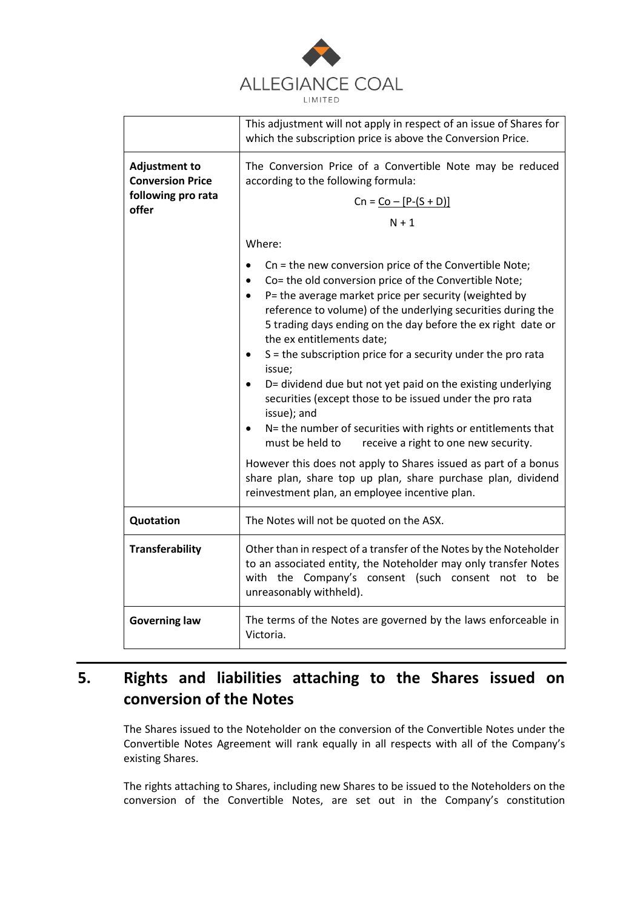

|                                                 | This adjustment will not apply in respect of an issue of Shares for<br>which the subscription price is above the Conversion Price.                                                                                                                                                                                                                                                                                                                                                                                                                                                                                                                                                                                                                           |
|-------------------------------------------------|--------------------------------------------------------------------------------------------------------------------------------------------------------------------------------------------------------------------------------------------------------------------------------------------------------------------------------------------------------------------------------------------------------------------------------------------------------------------------------------------------------------------------------------------------------------------------------------------------------------------------------------------------------------------------------------------------------------------------------------------------------------|
| <b>Adjustment to</b><br><b>Conversion Price</b> | The Conversion Price of a Convertible Note may be reduced<br>according to the following formula:                                                                                                                                                                                                                                                                                                                                                                                                                                                                                                                                                                                                                                                             |
| following pro rata<br>offer                     | $Cn = Co - [P-(S + D)]$                                                                                                                                                                                                                                                                                                                                                                                                                                                                                                                                                                                                                                                                                                                                      |
|                                                 | $N + 1$                                                                                                                                                                                                                                                                                                                                                                                                                                                                                                                                                                                                                                                                                                                                                      |
|                                                 | Where:                                                                                                                                                                                                                                                                                                                                                                                                                                                                                                                                                                                                                                                                                                                                                       |
|                                                 | Cn = the new conversion price of the Convertible Note;<br>Co= the old conversion price of the Convertible Note;<br>P= the average market price per security (weighted by<br>reference to volume) of the underlying securities during the<br>5 trading days ending on the day before the ex right date or<br>the ex entitlements date;<br>S = the subscription price for a security under the pro rata<br>٠<br>issue;<br>D= dividend due but not yet paid on the existing underlying<br>securities (except those to be issued under the pro rata<br>issue); and<br>N= the number of securities with rights or entitlements that<br>must be held to<br>receive a right to one new security.<br>However this does not apply to Shares issued as part of a bonus |
|                                                 | share plan, share top up plan, share purchase plan, dividend<br>reinvestment plan, an employee incentive plan.                                                                                                                                                                                                                                                                                                                                                                                                                                                                                                                                                                                                                                               |
| Quotation                                       | The Notes will not be quoted on the ASX.                                                                                                                                                                                                                                                                                                                                                                                                                                                                                                                                                                                                                                                                                                                     |
| <b>Transferability</b>                          | Other than in respect of a transfer of the Notes by the Noteholder<br>to an associated entity, the Noteholder may only transfer Notes<br>with the Company's consent (such consent not to be<br>unreasonably withheld).                                                                                                                                                                                                                                                                                                                                                                                                                                                                                                                                       |
| <b>Governing law</b>                            | The terms of the Notes are governed by the laws enforceable in<br>Victoria.                                                                                                                                                                                                                                                                                                                                                                                                                                                                                                                                                                                                                                                                                  |

# **5. Rights and liabilities attaching to the Shares issued on conversion of the Notes**

The Shares issued to the Noteholder on the conversion of the Convertible Notes under the Convertible Notes Agreement will rank equally in all respects with all of the Company's existing Shares.

The rights attaching to Shares, including new Shares to be issued to the Noteholders on the conversion of the Convertible Notes, are set out in the Company's constitution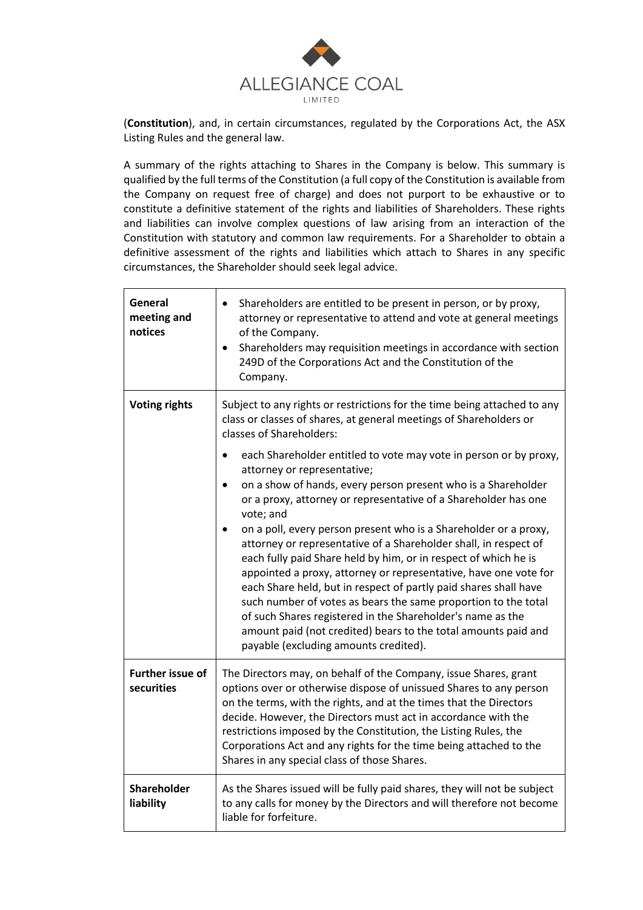

(**Constitution**), and, in certain circumstances, regulated by the Corporations Act, the ASX Listing Rules and the general law.

A summary of the rights attaching to Shares in the Company is below. This summary is qualified by the full terms of the Constitution (a full copy of the Constitution is available from the Company on request free of charge) and does not purport to be exhaustive or to constitute a definitive statement of the rights and liabilities of Shareholders. These rights and liabilities can involve complex questions of law arising from an interaction of the Constitution with statutory and common law requirements. For a Shareholder to obtain a definitive assessment of the rights and liabilities which attach to Shares in any specific circumstances, the Shareholder should seek legal advice.

| General<br>meeting and<br>notices     | Shareholders are entitled to be present in person, or by proxy,<br>attorney or representative to attend and vote at general meetings<br>of the Company.<br>Shareholders may requisition meetings in accordance with section<br>249D of the Corporations Act and the Constitution of the<br>Company.                                                                                                                                                                                                                                                                                                                                                                                                                                                                                                                                                                                                                                                                                                                                                     |
|---------------------------------------|---------------------------------------------------------------------------------------------------------------------------------------------------------------------------------------------------------------------------------------------------------------------------------------------------------------------------------------------------------------------------------------------------------------------------------------------------------------------------------------------------------------------------------------------------------------------------------------------------------------------------------------------------------------------------------------------------------------------------------------------------------------------------------------------------------------------------------------------------------------------------------------------------------------------------------------------------------------------------------------------------------------------------------------------------------|
| <b>Voting rights</b>                  | Subject to any rights or restrictions for the time being attached to any<br>class or classes of shares, at general meetings of Shareholders or<br>classes of Shareholders:<br>each Shareholder entitled to vote may vote in person or by proxy,<br>$\bullet$<br>attorney or representative;<br>on a show of hands, every person present who is a Shareholder<br>$\bullet$<br>or a proxy, attorney or representative of a Shareholder has one<br>vote; and<br>on a poll, every person present who is a Shareholder or a proxy,<br>attorney or representative of a Shareholder shall, in respect of<br>each fully paid Share held by him, or in respect of which he is<br>appointed a proxy, attorney or representative, have one vote for<br>each Share held, but in respect of partly paid shares shall have<br>such number of votes as bears the same proportion to the total<br>of such Shares registered in the Shareholder's name as the<br>amount paid (not credited) bears to the total amounts paid and<br>payable (excluding amounts credited). |
| <b>Further issue of</b><br>securities | The Directors may, on behalf of the Company, issue Shares, grant<br>options over or otherwise dispose of unissued Shares to any person<br>on the terms, with the rights, and at the times that the Directors<br>decide. However, the Directors must act in accordance with the<br>restrictions imposed by the Constitution, the Listing Rules, the<br>Corporations Act and any rights for the time being attached to the<br>Shares in any special class of those Shares.                                                                                                                                                                                                                                                                                                                                                                                                                                                                                                                                                                                |
| Shareholder<br>liability              | As the Shares issued will be fully paid shares, they will not be subject<br>to any calls for money by the Directors and will therefore not become<br>liable for forfeiture.                                                                                                                                                                                                                                                                                                                                                                                                                                                                                                                                                                                                                                                                                                                                                                                                                                                                             |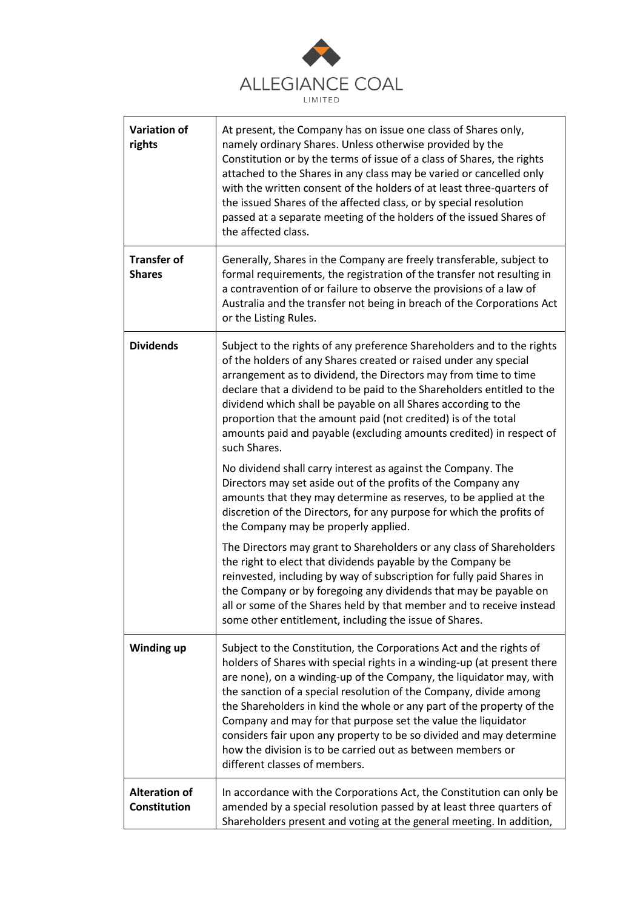

| <b>Variation of</b><br>rights        | At present, the Company has on issue one class of Shares only,<br>namely ordinary Shares. Unless otherwise provided by the<br>Constitution or by the terms of issue of a class of Shares, the rights<br>attached to the Shares in any class may be varied or cancelled only<br>with the written consent of the holders of at least three-quarters of<br>the issued Shares of the affected class, or by special resolution<br>passed at a separate meeting of the holders of the issued Shares of<br>the affected class.                                                                                     |
|--------------------------------------|-------------------------------------------------------------------------------------------------------------------------------------------------------------------------------------------------------------------------------------------------------------------------------------------------------------------------------------------------------------------------------------------------------------------------------------------------------------------------------------------------------------------------------------------------------------------------------------------------------------|
| <b>Transfer of</b><br><b>Shares</b>  | Generally, Shares in the Company are freely transferable, subject to<br>formal requirements, the registration of the transfer not resulting in<br>a contravention of or failure to observe the provisions of a law of<br>Australia and the transfer not being in breach of the Corporations Act<br>or the Listing Rules.                                                                                                                                                                                                                                                                                    |
| <b>Dividends</b>                     | Subject to the rights of any preference Shareholders and to the rights<br>of the holders of any Shares created or raised under any special<br>arrangement as to dividend, the Directors may from time to time<br>declare that a dividend to be paid to the Shareholders entitled to the<br>dividend which shall be payable on all Shares according to the<br>proportion that the amount paid (not credited) is of the total<br>amounts paid and payable (excluding amounts credited) in respect of<br>such Shares.                                                                                          |
|                                      | No dividend shall carry interest as against the Company. The<br>Directors may set aside out of the profits of the Company any<br>amounts that they may determine as reserves, to be applied at the<br>discretion of the Directors, for any purpose for which the profits of<br>the Company may be properly applied.                                                                                                                                                                                                                                                                                         |
|                                      | The Directors may grant to Shareholders or any class of Shareholders<br>the right to elect that dividends payable by the Company be<br>reinvested, including by way of subscription for fully paid Shares in<br>the Company or by foregoing any dividends that may be payable on<br>all or some of the Shares held by that member and to receive instead<br>some other entitlement, including the issue of Shares.                                                                                                                                                                                          |
| Winding up                           | Subject to the Constitution, the Corporations Act and the rights of<br>holders of Shares with special rights in a winding-up (at present there<br>are none), on a winding-up of the Company, the liquidator may, with<br>the sanction of a special resolution of the Company, divide among<br>the Shareholders in kind the whole or any part of the property of the<br>Company and may for that purpose set the value the liquidator<br>considers fair upon any property to be so divided and may determine<br>how the division is to be carried out as between members or<br>different classes of members. |
| <b>Alteration of</b><br>Constitution | In accordance with the Corporations Act, the Constitution can only be<br>amended by a special resolution passed by at least three quarters of<br>Shareholders present and voting at the general meeting. In addition,                                                                                                                                                                                                                                                                                                                                                                                       |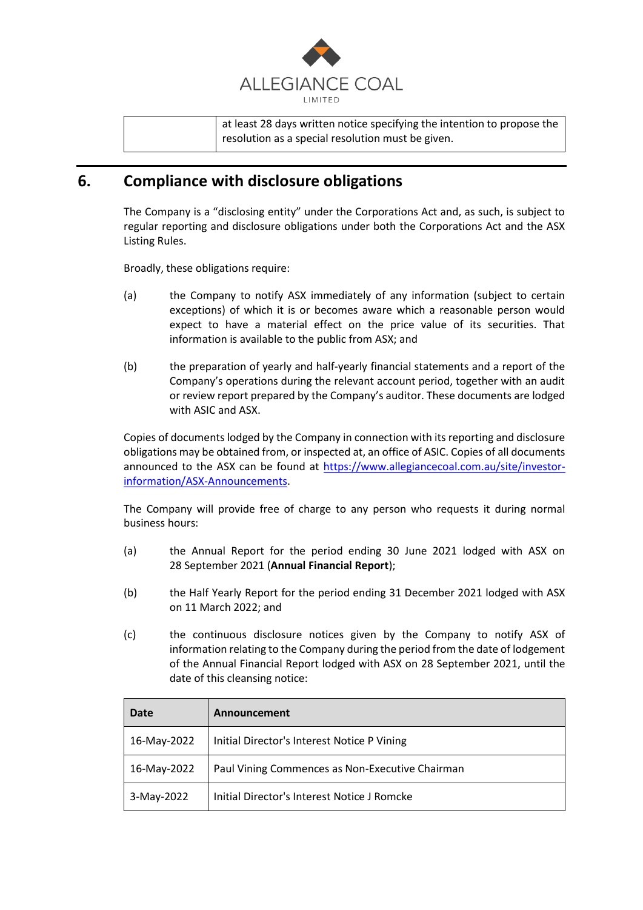

at least 28 days written notice specifying the intention to propose the resolution as a special resolution must be given.

### **6. Compliance with disclosure obligations**

The Company is a "disclosing entity" under the Corporations Act and, as such, is subject to regular reporting and disclosure obligations under both the Corporations Act and the ASX Listing Rules.

Broadly, these obligations require:

- (a) the Company to notify ASX immediately of any information (subject to certain exceptions) of which it is or becomes aware which a reasonable person would expect to have a material effect on the price value of its securities. That information is available to the public from ASX; and
- (b) the preparation of yearly and half-yearly financial statements and a report of the Company's operations during the relevant account period, together with an audit or review report prepared by the Company's auditor. These documents are lodged with ASIC and ASX.

Copies of documents lodged by the Company in connection with its reporting and disclosure obligations may be obtained from, or inspected at, an office of ASIC. Copies of all documents announced to the ASX can be found at [https://www.allegiancecoal.com.au/site/investor](https://www.allegiancecoal.com.au/site/investor-information/ASX-Announcements)[information/ASX-Announcements.](https://www.allegiancecoal.com.au/site/investor-information/ASX-Announcements)

The Company will provide free of charge to any person who requests it during normal business hours:

- (a) the Annual Report for the period ending 30 June 2021 lodged with ASX on 28 September 2021 (**Annual Financial Report**);
- (b) the Half Yearly Report for the period ending 31 December 2021 lodged with ASX on 11 March 2022; and
- (c) the continuous disclosure notices given by the Company to notify ASX of information relating to the Company during the period from the date of lodgement of the Annual Financial Report lodged with ASX on 28 September 2021, until the date of this cleansing notice:

| Date        | Announcement                                    |
|-------------|-------------------------------------------------|
| 16-May-2022 | Initial Director's Interest Notice P Vining     |
| 16-May-2022 | Paul Vining Commences as Non-Executive Chairman |
| 3-May-2022  | Initial Director's Interest Notice J Romcke     |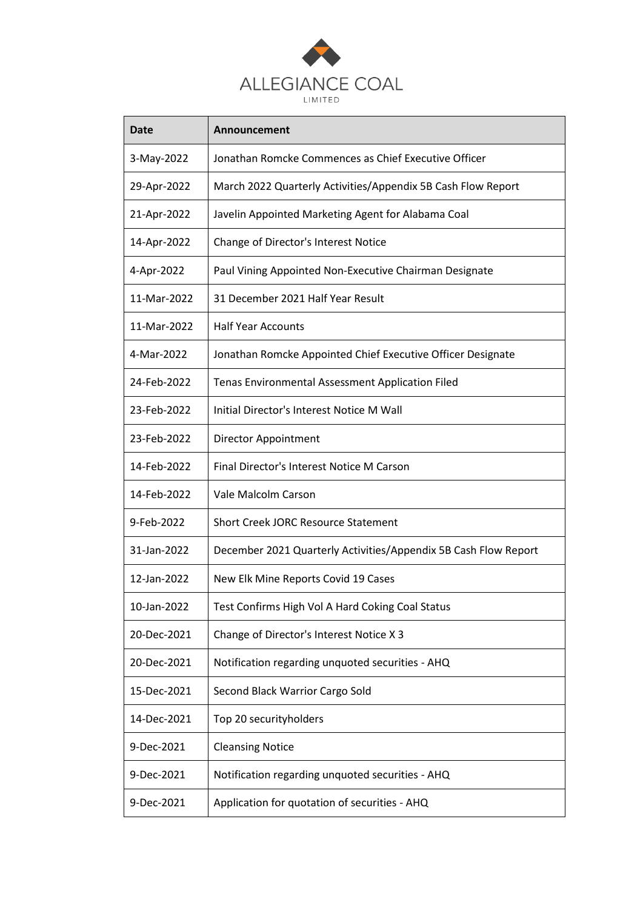

| <b>Date</b> | Announcement                                                    |
|-------------|-----------------------------------------------------------------|
| 3-May-2022  | Jonathan Romcke Commences as Chief Executive Officer            |
| 29-Apr-2022 | March 2022 Quarterly Activities/Appendix 5B Cash Flow Report    |
| 21-Apr-2022 | Javelin Appointed Marketing Agent for Alabama Coal              |
| 14-Apr-2022 | Change of Director's Interest Notice                            |
| 4-Apr-2022  | Paul Vining Appointed Non-Executive Chairman Designate          |
| 11-Mar-2022 | 31 December 2021 Half Year Result                               |
| 11-Mar-2022 | <b>Half Year Accounts</b>                                       |
| 4-Mar-2022  | Jonathan Romcke Appointed Chief Executive Officer Designate     |
| 24-Feb-2022 | Tenas Environmental Assessment Application Filed                |
| 23-Feb-2022 | Initial Director's Interest Notice M Wall                       |
| 23-Feb-2022 | Director Appointment                                            |
| 14-Feb-2022 | Final Director's Interest Notice M Carson                       |
| 14-Feb-2022 | Vale Malcolm Carson                                             |
| 9-Feb-2022  | <b>Short Creek JORC Resource Statement</b>                      |
| 31-Jan-2022 | December 2021 Quarterly Activities/Appendix 5B Cash Flow Report |
| 12-Jan-2022 | New Elk Mine Reports Covid 19 Cases                             |
| 10-Jan-2022 | Test Confirms High Vol A Hard Coking Coal Status                |
| 20-Dec-2021 | Change of Director's Interest Notice X 3                        |
| 20-Dec-2021 | Notification regarding unquoted securities - AHQ                |
| 15-Dec-2021 | Second Black Warrior Cargo Sold                                 |
| 14-Dec-2021 | Top 20 securityholders                                          |
| 9-Dec-2021  | <b>Cleansing Notice</b>                                         |
| 9-Dec-2021  | Notification regarding unquoted securities - AHQ                |
| 9-Dec-2021  | Application for quotation of securities - AHQ                   |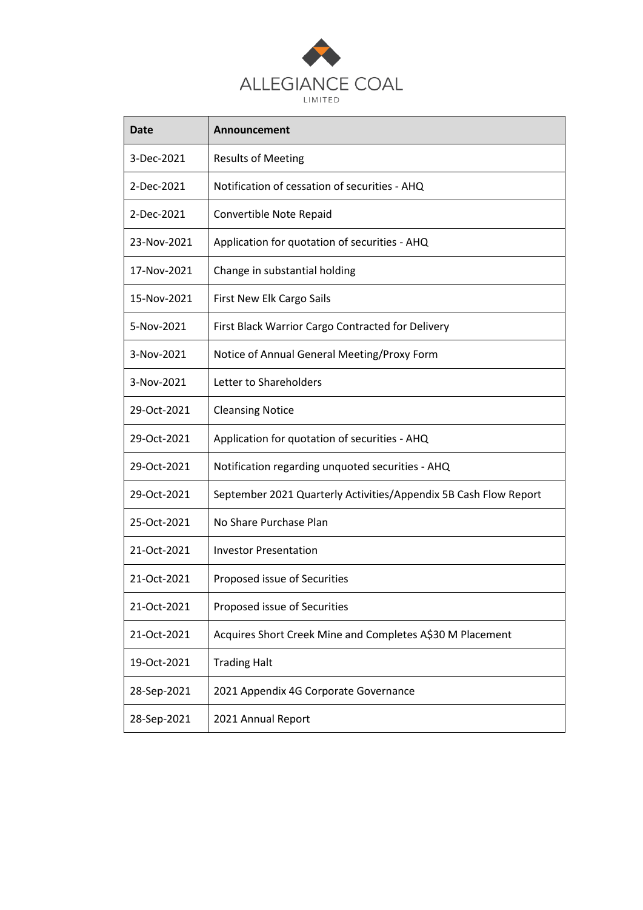

| Date        | Announcement                                                     |
|-------------|------------------------------------------------------------------|
| 3-Dec-2021  | <b>Results of Meeting</b>                                        |
| 2-Dec-2021  | Notification of cessation of securities - AHQ                    |
| 2-Dec-2021  | Convertible Note Repaid                                          |
| 23-Nov-2021 | Application for quotation of securities - AHQ                    |
| 17-Nov-2021 | Change in substantial holding                                    |
| 15-Nov-2021 | First New Elk Cargo Sails                                        |
| 5-Nov-2021  | First Black Warrior Cargo Contracted for Delivery                |
| 3-Nov-2021  | Notice of Annual General Meeting/Proxy Form                      |
| 3-Nov-2021  | Letter to Shareholders                                           |
| 29-Oct-2021 | <b>Cleansing Notice</b>                                          |
| 29-Oct-2021 | Application for quotation of securities - AHQ                    |
| 29-Oct-2021 | Notification regarding unquoted securities - AHQ                 |
| 29-Oct-2021 | September 2021 Quarterly Activities/Appendix 5B Cash Flow Report |
| 25-Oct-2021 | No Share Purchase Plan                                           |
| 21-Oct-2021 | <b>Investor Presentation</b>                                     |
| 21-Oct-2021 | Proposed issue of Securities                                     |
| 21-Oct-2021 | Proposed issue of Securities                                     |
| 21-Oct-2021 | Acquires Short Creek Mine and Completes A\$30 M Placement        |
| 19-Oct-2021 | <b>Trading Halt</b>                                              |
| 28-Sep-2021 | 2021 Appendix 4G Corporate Governance                            |
| 28-Sep-2021 | 2021 Annual Report                                               |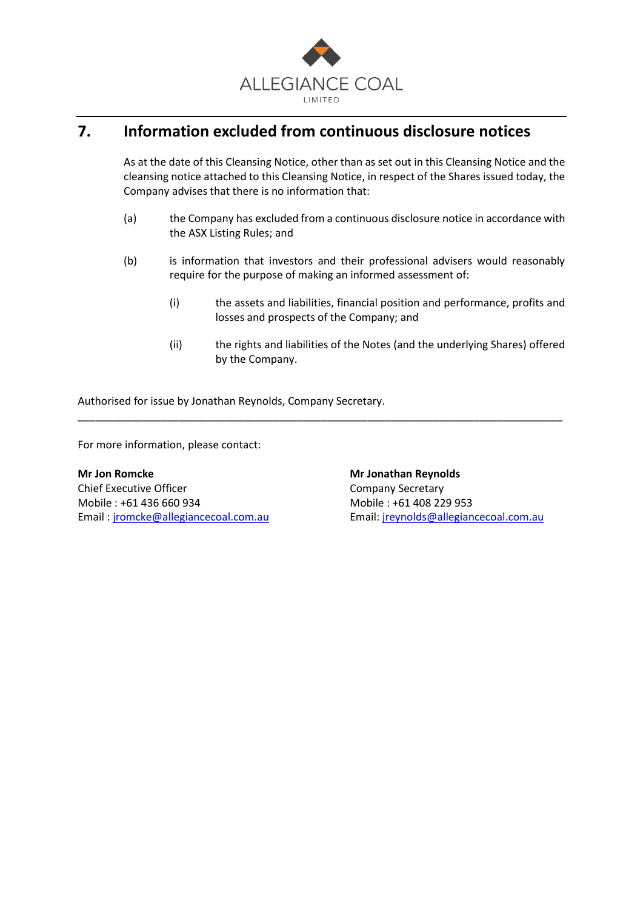

# **7. Information excluded from continuous disclosure notices**

As at the date of this Cleansing Notice, other than as set out in this Cleansing Notice and the cleansing notice attached to this Cleansing Notice, in respect of the Shares issued today, the Company advises that there is no information that:

- (a) the Company has excluded from a continuous disclosure notice in accordance with the ASX Listing Rules; and
- (b) is information that investors and their professional advisers would reasonably require for the purpose of making an informed assessment of:

\_\_\_\_\_\_\_\_\_\_\_\_\_\_\_\_\_\_\_\_\_\_\_\_\_\_\_\_\_\_\_\_\_\_\_\_\_\_\_\_\_\_\_\_\_\_\_\_\_\_\_\_\_\_\_\_\_\_\_\_\_\_\_\_\_\_\_\_\_\_\_\_\_\_\_\_\_\_\_\_\_\_

- (i) the assets and liabilities, financial position and performance, profits and losses and prospects of the Company; and
- (ii) the rights and liabilities of the Notes (and the underlying Shares) offered by the Company.

Authorised for issue by Jonathan Reynolds, Company Secretary.

For more information, please contact:

**Mr Jon Romcke Mr Jonathan Reynolds** Chief Executive Officer Chief Executive Officer Mobile : +61 436 660 934 Mobile : +61 408 229 953

Email: [jromcke@allegiancecoal.com.au](mailto:jromcke@allegiancecoal.com.au) Email: [jreynolds@allegiancecoal.com.au](mailto:mgray@allegiancecoal.com.au)